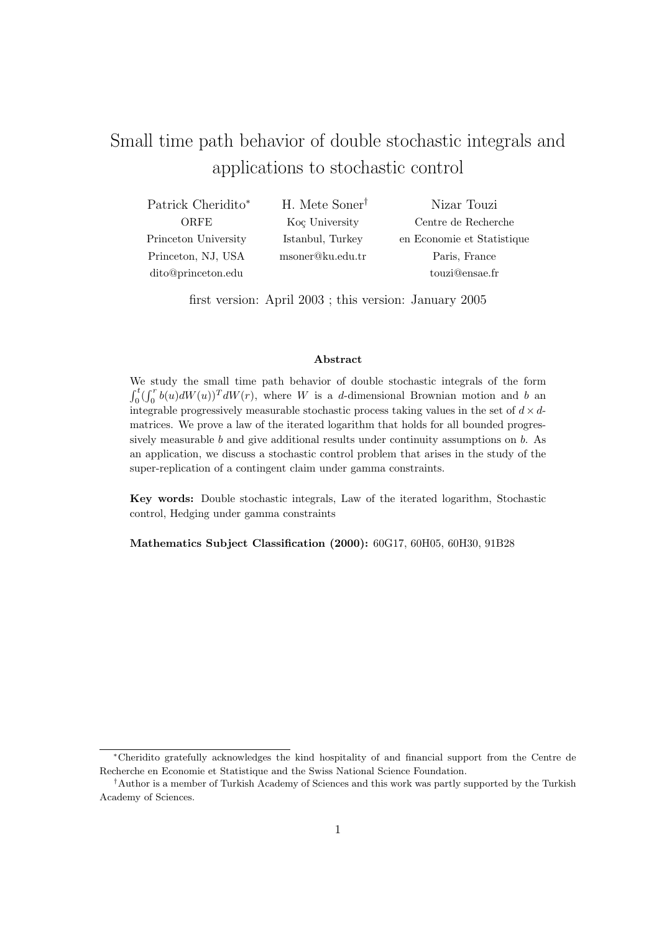# Small time path behavior of double stochastic integrals and applications to stochastic control

| Patrick Cheridito*   | H. Mete Soner <sup>†</sup> | Nizar Touzi                |
|----------------------|----------------------------|----------------------------|
| ORFE                 | Koç University             | Centre de Recherche        |
| Princeton University | Istanbul, Turkey           | en Economie et Statistique |
| Princeton, NJ, USA   | msoner@ku.edu.tr           | Paris, France              |
| dito@princeton.edu   |                            | touzi@ensae.fr             |

first version: April 2003 ; this version: January 2005

#### Abstract

We study the small time path behavior of double stochastic integrals of the form  $\frac{v}{t}$  $\int_0^t (\int_0^r$  $\int_0^r b(u) dW(u)$ <sup>T</sup>  $dW(r)$ , where W is a d-dimensional Brownian motion and b an integrable progressively measurable stochastic process taking values in the set of  $d \times d$ matrices. We prove a law of the iterated logarithm that holds for all bounded progressively measurable b and give additional results under continuity assumptions on b. As an application, we discuss a stochastic control problem that arises in the study of the super-replication of a contingent claim under gamma constraints.

Key words: Double stochastic integrals, Law of the iterated logarithm, Stochastic control, Hedging under gamma constraints

Mathematics Subject Classification (2000): 60G17, 60H05, 60H30, 91B28

<sup>∗</sup>Cheridito gratefully acknowledges the kind hospitality of and financial support from the Centre de Recherche en Economie et Statistique and the Swiss National Science Foundation.

<sup>†</sup>Author is a member of Turkish Academy of Sciences and this work was partly supported by the Turkish Academy of Sciences.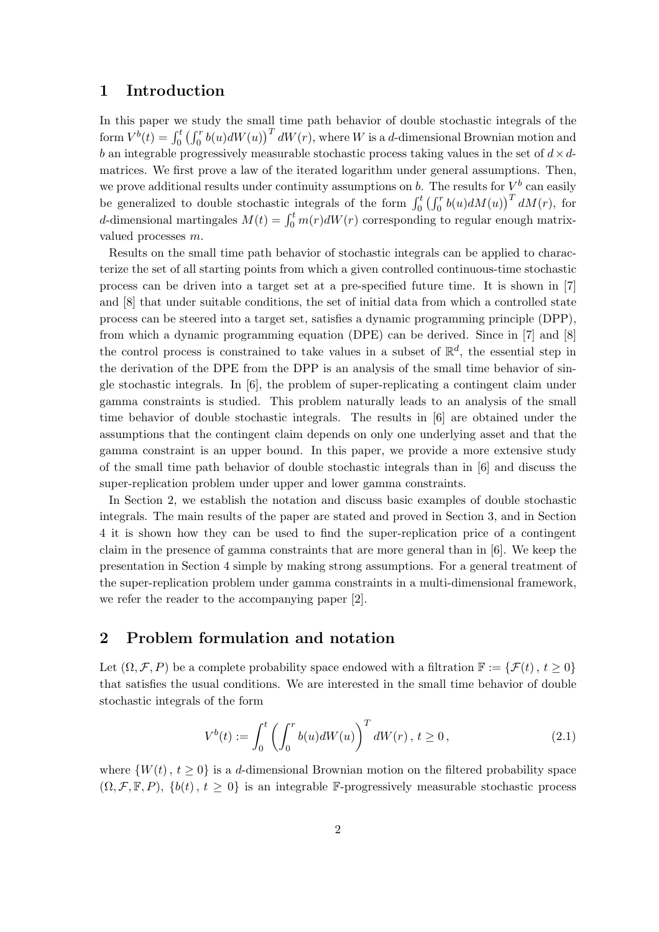## 1 Introduction

In this paper we study the small time path behavior of double stochastic integrals of the form  $V^b(t) = \int_0^t$ ະລ⊍<br>7 ∩″  $\int_0^r b(u) dW(u)$   $\int_0^T dW(r)$ , where W is a d-dimensional Brownian motion and b an integrable progressively measurable stochastic process taking values in the set of  $d \times d$ matrices. We first prove a law of the iterated logarithm under general assumptions. Then, we prove additional results under continuity assumptions on b. The results for  $V^b$  can easily be generalized to double stochastic integrals of the form  $\int_0^t$  $\frac{1}{r}$ we prove additional results under continuity assumptions on  $b$ . The results for  $V$  can easily<br>be generalized to double stochastic integrals of the form  $\int_0^t (\int_0^r b(u) dM(u))^T dM(r)$ , for<br>d-dimensional martingales  $M(t) = \int_0$ valued processes m.

Results on the small time path behavior of stochastic integrals can be applied to characterize the set of all starting points from which a given controlled continuous-time stochastic process can be driven into a target set at a pre-specified future time. It is shown in [7] and [8] that under suitable conditions, the set of initial data from which a controlled state process can be steered into a target set, satisfies a dynamic programming principle (DPP), from which a dynamic programming equation (DPE) can be derived. Since in [7] and [8] the control process is constrained to take values in a subset of  $\mathbb{R}^d$ , the essential step in the derivation of the DPE from the DPP is an analysis of the small time behavior of single stochastic integrals. In [6], the problem of super-replicating a contingent claim under gamma constraints is studied. This problem naturally leads to an analysis of the small time behavior of double stochastic integrals. The results in [6] are obtained under the assumptions that the contingent claim depends on only one underlying asset and that the gamma constraint is an upper bound. In this paper, we provide a more extensive study of the small time path behavior of double stochastic integrals than in [6] and discuss the super-replication problem under upper and lower gamma constraints.

In Section 2, we establish the notation and discuss basic examples of double stochastic integrals. The main results of the paper are stated and proved in Section 3, and in Section 4 it is shown how they can be used to find the super-replication price of a contingent claim in the presence of gamma constraints that are more general than in [6]. We keep the presentation in Section 4 simple by making strong assumptions. For a general treatment of the super-replication problem under gamma constraints in a multi-dimensional framework, we refer the reader to the accompanying paper [2].

# 2 Problem formulation and notation

Let  $(\Omega, \mathcal{F}, P)$  be a complete probability space endowed with a filtration  $\mathbb{F} := {\mathcal{F}(t), t \geq 0}$ that satisfies the usual conditions. We are interested in the small time behavior of double stochastic integrals of the form

$$
V^{b}(t) := \int_{0}^{t} \left( \int_{0}^{r} b(u)dW(u) \right)^{T} dW(r), t \ge 0,
$$
\n(2.1)

where  $\{W(t), t \geq 0\}$  is a d-dimensional Brownian motion on the filtered probability space  $(\Omega, \mathcal{F}, \mathbb{F}, P)$ ,  $\{b(t), t \geq 0\}$  is an integrable F-progressively measurable stochastic process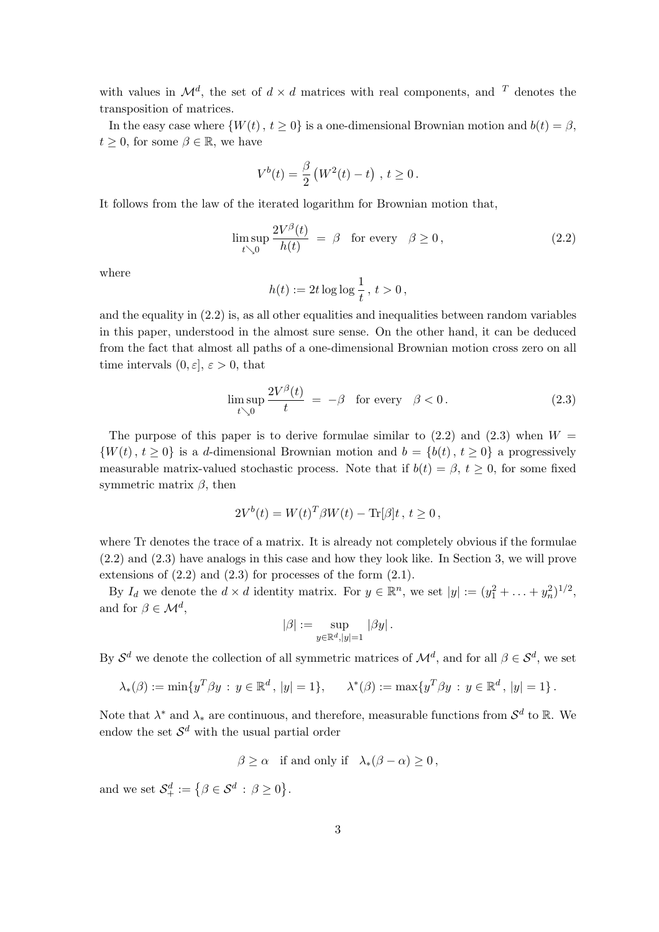with values in  $\mathcal{M}^d$ , the set of  $d \times d$  matrices with real components, and  $T$  denotes the transposition of matrices.

In the easy case where  $\{W(t), t \ge 0\}$  is a one-dimensional Brownian motion and  $b(t) = \beta$ ,  $t \geq 0$ , for some  $\beta \in \mathbb{R}$ , we have

$$
V^{b}(t) = \frac{\beta}{2} (W^{2}(t) - t) , t \ge 0.
$$

It follows from the law of the iterated logarithm for Brownian motion that,

$$
\limsup_{t \searrow 0} \frac{2V^{\beta}(t)}{h(t)} = \beta \quad \text{for every} \quad \beta \ge 0,
$$
\n(2.2)

where

$$
h(t):=2t\log\log\frac{1}{t}\,,\,t>0\,,
$$

and the equality in (2.2) is, as all other equalities and inequalities between random variables in this paper, understood in the almost sure sense. On the other hand, it can be deduced from the fact that almost all paths of a one-dimensional Brownian motion cross zero on all time intervals  $(0, \varepsilon], \varepsilon > 0$ , that

$$
\limsup_{t \searrow 0} \frac{2V^{\beta}(t)}{t} = -\beta \quad \text{for every} \quad \beta < 0. \tag{2.3}
$$

The purpose of this paper is to derive formulae similar to  $(2.2)$  and  $(2.3)$  when  $W =$  $\{W(t), t \geq 0\}$  is a d-dimensional Brownian motion and  $b = \{b(t), t \geq 0\}$  a progressively measurable matrix-valued stochastic process. Note that if  $b(t) = \beta$ ,  $t \geq 0$ , for some fixed symmetric matrix  $\beta$ , then

$$
2V^{b}(t) = W(t)^{T} \beta W(t) - \text{Tr}[\beta]t, t \ge 0,
$$

where Tr denotes the trace of a matrix. It is already not completely obvious if the formulae (2.2) and (2.3) have analogs in this case and how they look like. In Section 3, we will prove extensions of  $(2.2)$  and  $(2.3)$  for processes of the form  $(2.1)$ .

By  $I_d$  we denote the  $d \times d$  identity matrix. For  $y \in \mathbb{R}^n$ , we set  $|y| := (y_1^2 + \ldots + y_n^2)^{1/2}$ , and for  $\beta \in \mathcal{M}^d$ ,

$$
|\beta|:=\sup_{y\in\mathbb{R}^d,|y|=1}\,|\beta y|\,.
$$

By  $S^d$  we denote the collection of all symmetric matrices of  $\mathcal{M}^d$ , and for all  $\beta \in \mathcal{S}^d$ , we set

$$
\lambda_*(\beta) := \min\{y^T \beta y : y \in \mathbb{R}^d, |y| = 1\}, \quad \lambda^*(\beta) := \max\{y^T \beta y : y \in \mathbb{R}^d, |y| = 1\}.
$$

Note that  $\lambda^*$  and  $\lambda_*$  are continuous, and therefore, measurable functions from  $\mathcal{S}^d$  to  $\mathbb{R}$ . We endow the set  $\mathcal{S}^d$  with the usual partial order

 $\beta > \alpha$  if and only if  $\lambda_*(\beta - \alpha) > 0$ ,

and we set  $\mathcal{S}_{+}^{d} := \{ \beta \in \mathcal{S}^{d} : \beta \geq 0 \}$ ª .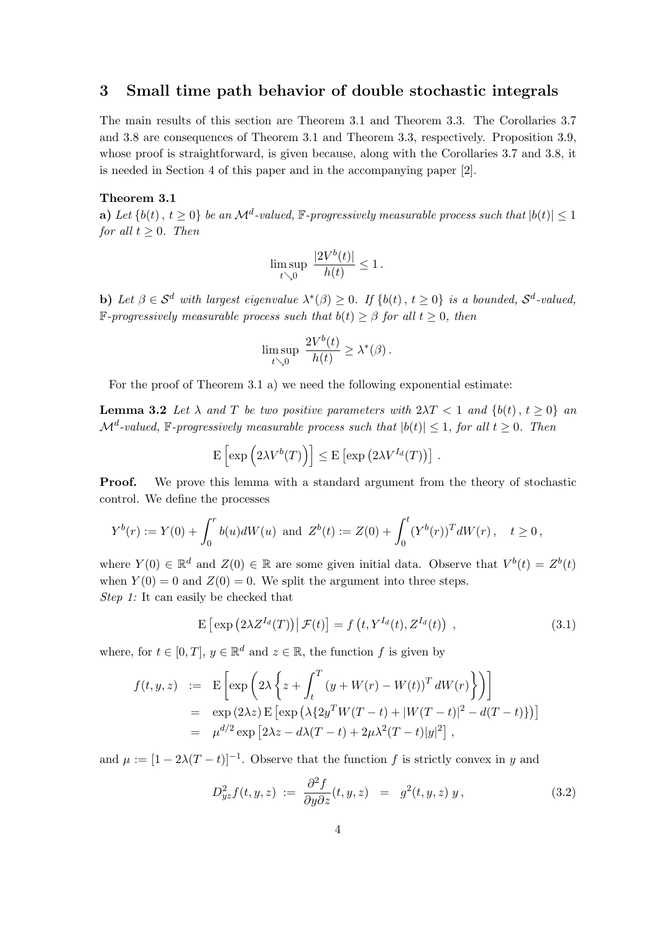# 3 Small time path behavior of double stochastic integrals

The main results of this section are Theorem 3.1 and Theorem 3.3. The Corollaries 3.7 and 3.8 are consequences of Theorem 3.1 and Theorem 3.3, respectively. Proposition 3.9, whose proof is straightforward, is given because, along with the Corollaries 3.7 and 3.8, it is needed in Section 4 of this paper and in the accompanying paper [2].

## Theorem 3.1

**a**) Let  $\{b(t), t \geq 0\}$  be an  $\mathcal{M}^d$ -valued,  $\mathbb{F}$ -progressively measurable process such that  $|b(t)| \leq 1$ for all  $t \geq 0$ . Then

$$
\limsup_{t\searrow 0} \ \frac{|2V^b(t)|}{h(t)}\leq 1\,.
$$

**b**) Let  $\beta \in \mathcal{S}^d$  with largest eigenvalue  $\lambda^*(\beta) \geq 0$ . If  $\{b(t), t \geq 0\}$  is a bounded,  $\mathcal{S}^d$ -valued, **F**-progressively measurable process such that  $b(t) \geq \beta$  for all  $t \geq 0$ , then

$$
\limsup_{t \searrow 0} \frac{2V^b(t)}{h(t)} \geq \lambda^*(\beta).
$$

For the proof of Theorem 3.1 a) we need the following exponential estimate:

**Lemma 3.2** Let  $\lambda$  and T be two positive parameters with  $2\lambda T < 1$  and  $\{b(t), t \geq 0\}$  and  $\mathcal{M}^d$ -valued, F-progressively measurable process such that  $|b(t)| \leq 1$ , for all  $t \geq 0$ . Then

$$
\mathbf{E}\left[\exp\left(2\lambda V^{b}(T)\right)\right] \leq \mathbf{E}\left[\exp\left(2\lambda V^{I_d}(T)\right)\right].
$$

**Proof.** We prove this lemma with a standard argument from the theory of stochastic control. We define the processes

$$
Y^{b}(r) := Y(0) + \int_{0}^{r} b(u)dW(u) \text{ and } Z^{b}(t) := Z(0) + \int_{0}^{t} (Y^{b}(r))^{T} dW(r), \quad t \ge 0,
$$

where  $Y(0) \in \mathbb{R}^d$  and  $Z(0) \in \mathbb{R}$  are some given initial data. Observe that  $V^b(t) = Z^b(t)$ when  $Y(0) = 0$  and  $Z(0) = 0$ . We split the argument into three steps. Step 1: It can easily be checked that

$$
\mathbf{E}\left[\exp\left(2\lambda Z^{I_d}(T)\right)\big|\,\mathcal{F}(t)\right] = f\left(t, Y^{I_d}(t), Z^{I_d}(t)\right) \,,\tag{3.1}
$$

where, for  $t \in [0, T]$ ,  $y \in \mathbb{R}^d$  and  $z \in \mathbb{R}$ , the function f is given by

$$
f(t, y, z) := \mathbb{E}\left[\exp\left(2\lambda \left\{z + \int_t^T (y + W(r) - W(t))^T dW(r)\right\}\right)\right]
$$
  
\n
$$
= \exp(2\lambda z) \mathbb{E}\left[\exp\left(\lambda \{2y^T W(T - t) + |W(T - t)|^2 - d(T - t)\}\right)\right]
$$
  
\n
$$
= \mu^{d/2} \exp\left[2\lambda z - d\lambda (T - t) + 2\mu \lambda^2 (T - t)|y|^2\right],
$$

and  $\mu := [1 - 2\lambda(T - t)]^{-1}$ . Observe that the function f is strictly convex in y and

$$
D_{yz}^2 f(t, y, z) := \frac{\partial^2 f}{\partial y \partial z}(t, y, z) = g^2(t, y, z) y,
$$
\n(3.2)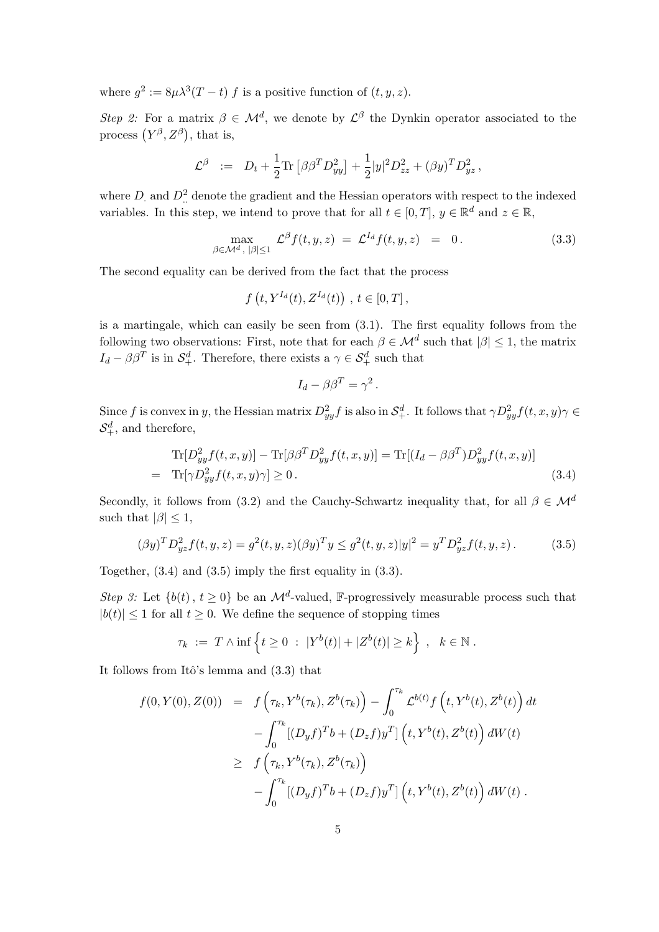where  $g^2 := 8\mu\lambda^3(T-t) f$  is a positive function of  $(t, y, z)$ .

Step 2: For a matrix  $\beta \in \mathcal{M}^d$ , we denote by  $\mathcal{L}^{\beta}$  the Dynkin operator associated to the process  $(Y^{\beta}, Z^{\beta})$ , that is,

$$
\mathcal{L}^{\beta} \ := \ D_t + \frac{1}{2} \text{Tr} \left[ \beta \beta^T D_{yy}^2 \right] + \frac{1}{2} |y|^2 D_{zz}^2 + (\beta y)^T D_{yz}^2 \,,
$$

where  $D_1$  and  $D_1^2$  denote the gradient and the Hessian operators with respect to the indexed variables. In this step, we intend to prove that for all  $t \in [0, T]$ ,  $y \in \mathbb{R}^d$  and  $z \in \mathbb{R}$ ,

$$
\max_{\beta \in \mathcal{M}^d, \, |\beta| \le 1} \mathcal{L}^{\beta} f(t, y, z) = \mathcal{L}^{I_d} f(t, y, z) = 0. \tag{3.3}
$$

The second equality can be derived from the fact that the process

$$
f(t, Y^{I_d}(t), Z^{I_d}(t)) , t \in [0, T] ,
$$

is a martingale, which can easily be seen from (3.1). The first equality follows from the following two observations: First, note that for each  $\beta \in \mathcal{M}^d$  such that  $|\beta| \leq 1$ , the matrix  $I_d - \beta \beta^T$  is in  $\mathcal{S}_+^d$ . Therefore, there exists a  $\gamma \in \mathcal{S}_+^d$  such that

$$
I_d - \beta \beta^T = \gamma^2
$$

Since f is convex in y, the Hessian matrix  $D_{yy}^2 f$  is also in  $S^d_+$ . It follows that  $\gamma D_{yy}^2 f(t, x, y) \gamma \in$  $S_+^d$ , and therefore,

$$
\text{Tr}[D_{yy}^2 f(t, x, y)] - \text{Tr}[\beta \beta^T D_{yy}^2 f(t, x, y)] = \text{Tr}[(I_d - \beta \beta^T) D_{yy}^2 f(t, x, y)]
$$
  
= 
$$
\text{Tr}[\gamma D_{yy}^2 f(t, x, y)\gamma] \ge 0.
$$
 (3.4)

.

Secondly, it follows from (3.2) and the Cauchy-Schwartz inequality that, for all  $\beta \in \mathcal{M}^d$ such that  $|\beta|$  < 1,

$$
(\beta y)^T D_{yz}^2 f(t, y, z) = g^2(t, y, z) (\beta y)^T y \le g^2(t, y, z) |y|^2 = y^T D_{yz}^2 f(t, y, z).
$$
 (3.5)

Together, (3.4) and (3.5) imply the first equality in (3.3).

Step 3: Let  $\{b(t), t \geq 0\}$  be an  $\mathcal{M}^d$ -valued, F-progressively measurable process such that  $|b(t)| \leq 1$  for all  $t \geq 0$ . We define the sequence of stopping times

$$
\tau_k \ := \ T \wedge \inf \left\{ t \ge 0 \ : \ |Y^b(t)| + |Z^b(t)| \ge k \right\} \ , \ \ k \in \mathbb{N} \ .
$$

It follows from Itô's lemma and  $(3.3)$  that

$$
f(0, Y(0), Z(0)) = f(\tau_k, Y^b(\tau_k), Z^b(\tau_k)) - \int_0^{\tau_k} \mathcal{L}^{b(t)} f(t, Y^b(t), Z^b(t)) dt - \int_0^{\tau_k} [(D_y f)^T b + (D_z f) y^T] (t, Y^b(t), Z^b(t)) dW(t) \geq f(\tau_k, Y^b(\tau_k), Z^b(\tau_k)) - \int_0^{\tau_k} [(D_y f)^T b + (D_z f) y^T] (t, Y^b(t), Z^b(t)) dW(t).
$$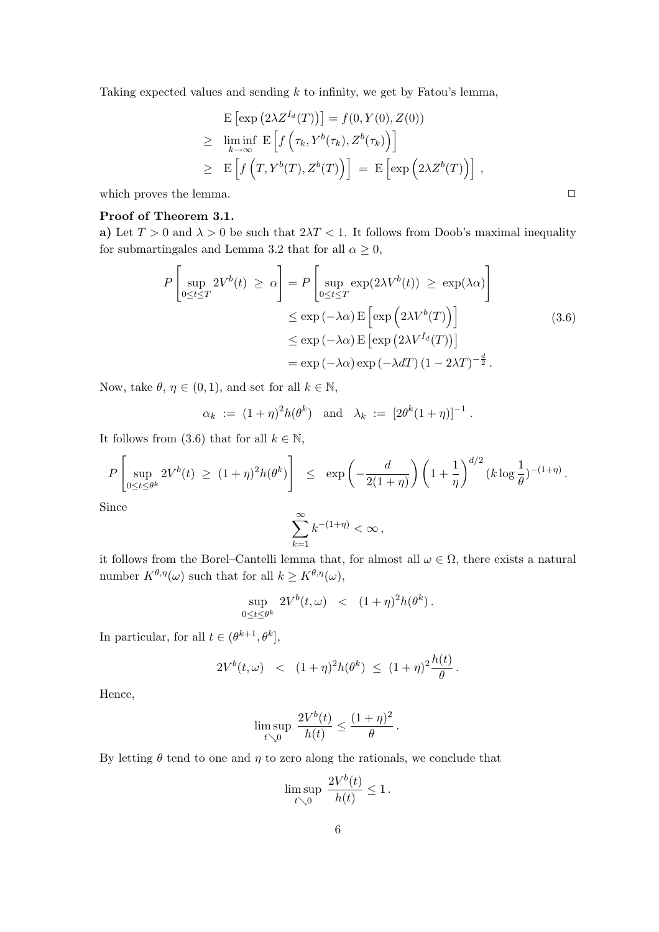Taking expected values and sending  $k$  to infinity, we get by Fatou's lemma,

$$
\begin{aligned} &\mathbf{E}\left[\exp\left(2\lambda Z^{I_d}(T)\right)\right] = f(0, Y(0), Z(0)) \\ &\geq \liminf_{k \to \infty} \mathbf{E}\left[f\left(\tau_k, Y^b(\tau_k), Z^b(\tau_k)\right)\right] \\ &\geq \mathbf{E}\left[f\left(T, Y^b(T), Z^b(T)\right)\right] = \mathbf{E}\left[\exp\left(2\lambda Z^b(T)\right)\right] \,, \end{aligned}
$$

which proves the lemma.  $\Box$ 

## Proof of Theorem 3.1.

a) Let  $T > 0$  and  $\lambda > 0$  be such that  $2\lambda T < 1$ . It follows from Doob's maximal inequality for submartingales and Lemma 3.2 that for all  $\alpha \geq 0$ ,

$$
P\left[\sup_{0\leq t\leq T} 2V^b(t) \geq \alpha\right] = P\left[\sup_{0\leq t\leq T} \exp(2\lambda V^b(t)) \geq \exp(\lambda \alpha)\right]
$$
  

$$
\leq \exp(-\lambda \alpha) \mathbb{E}\left[\exp\left(2\lambda V^b(T)\right)\right]
$$
  

$$
\leq \exp(-\lambda \alpha) \mathbb{E}\left[\exp\left(2\lambda V^{I_d}(T)\right)\right]
$$
  

$$
= \exp(-\lambda \alpha) \exp(-\lambda dT) (1 - 2\lambda T)^{-\frac{d}{2}}.
$$
 (3.6)

Now, take  $\theta, \eta \in (0, 1)$ , and set for all  $k \in \mathbb{N}$ ,

$$
\alpha_k := (1+\eta)^2 h(\theta^k)
$$
 and  $\lambda_k := [2\theta^k (1+\eta)]^{-1}$ .

It follows from (3.6) that for all  $k \in \mathbb{N}$ ,

$$
P\left[\sup_{0\leq t\leq\theta^k} 2V^b(t) \ \geq \ (1+\eta)^2 h(\theta^k)\right] \ \leq \ \exp\left(-\frac{d}{2(1+\eta)}\right) \left(1+\frac{1}{\eta}\right)^{d/2} (k\log\frac{1}{\theta})^{-(1+\eta)}.
$$

Since

$$
\sum_{k=1}^{\infty} k^{-(1+\eta)} < \infty \,,
$$

it follows from the Borel–Cantelli lemma that, for almost all  $\omega \in \Omega$ , there exists a natural number  $K^{\theta,\eta}(\omega)$  such that for all  $k \geq K^{\theta,\eta}(\omega)$ ,

$$
\sup_{0\leq t\leq\theta^k} 2V^b(t,\omega) \quad < \quad (1+\eta)^2 h(\theta^k) \, .
$$

In particular, for all  $t \in (\theta^{k+1}, \theta^k],$ 

$$
2V^{b}(t,\omega) \le (1+\eta)^{2}h(\theta^{k}) \le (1+\eta)^{2}\frac{h(t)}{\theta}
$$

.

Hence,

$$
\limsup_{t \searrow 0} \frac{2V^b(t)}{h(t)} \le \frac{(1+\eta)^2}{\theta}.
$$

By letting  $\theta$  tend to one and  $\eta$  to zero along the rationals, we conclude that

$$
\limsup_{t \searrow 0} \frac{2V^b(t)}{h(t)} \le 1.
$$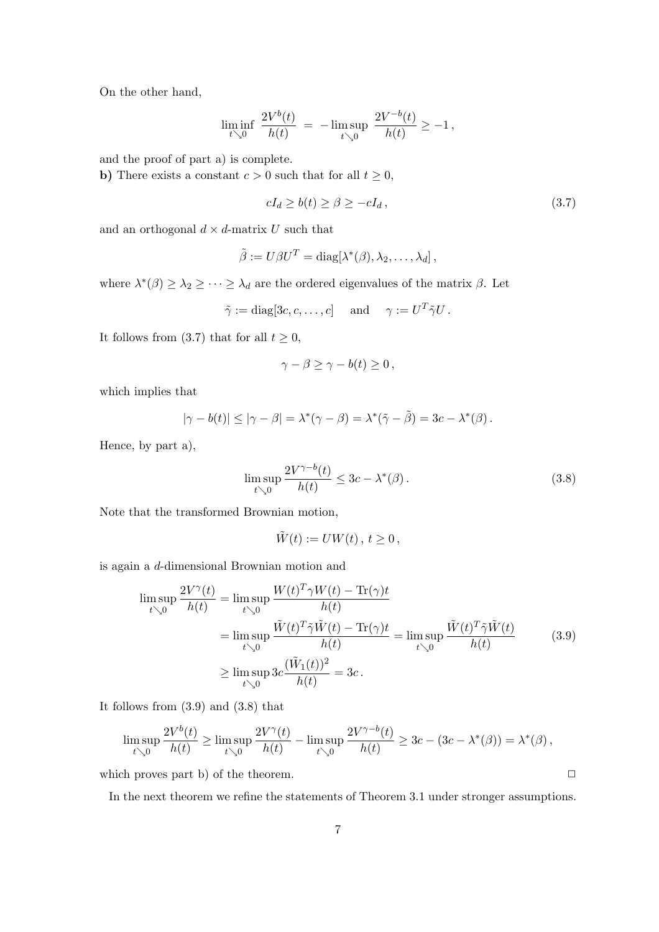On the other hand,

$$
\liminf_{t \searrow 0} \; \frac{2 V^b(t)}{h(t)} \; = \; - \limsup_{t \searrow 0} \; \frac{2 V^{-b}(t)}{h(t)} \geq -1 \,,
$$

and the proof of part a) is complete.

b) There exists a constant  $c > 0$  such that for all  $t \geq 0$ ,

$$
cI_d \ge b(t) \ge \beta \ge -cI_d,\tag{3.7}
$$

and an orthogonal  $d \times d$ -matrix U such that

$$
\tilde{\beta} := U\beta U^T = \text{diag}[\lambda^*(\beta), \lambda_2, \dots, \lambda_d],
$$

where  $\lambda^*(\beta) \geq \lambda_2 \geq \cdots \geq \lambda_d$  are the ordered eigenvalues of the matrix  $\beta$ . Let

$$
\tilde{\gamma} := \text{diag}[3c, c, \dots, c] \quad \text{ and } \quad \gamma := U^T \tilde{\gamma} U.
$$

It follows from (3.7) that for all  $t \geq 0$ ,

$$
\gamma - \beta \ge \gamma - b(t) \ge 0,
$$

which implies that

$$
|\gamma - b(t)| \leq |\gamma - \beta| = \lambda^*(\gamma - \beta) = \lambda^*(\tilde{\gamma} - \tilde{\beta}) = 3c - \lambda^*(\beta).
$$

Hence, by part a),

$$
\limsup_{t \searrow 0} \frac{2V^{\gamma - b}(t)}{h(t)} \le 3c - \lambda^*(\beta). \tag{3.8}
$$

Note that the transformed Brownian motion,

$$
\tilde{W}(t) := UW(t), \, t \geq 0 \,,
$$

is again a d-dimensional Brownian motion and

$$
\limsup_{t \searrow 0} \frac{2V^{\gamma}(t)}{h(t)} = \limsup_{t \searrow 0} \frac{W(t)^{T} \gamma W(t) - \text{Tr}(\gamma)t}{h(t)} \n= \limsup_{t \searrow 0} \frac{\tilde{W}(t)^{T} \tilde{\gamma} \tilde{W}(t) - \text{Tr}(\gamma)t}{h(t)} = \limsup_{t \searrow 0} \frac{\tilde{W}(t)^{T} \tilde{\gamma} \tilde{W}(t)}{h(t)} \n\ge \limsup_{t \searrow 0} 3c \frac{(\tilde{W}_{1}(t))^{2}}{h(t)} = 3c.
$$
\n(3.9)

It follows from (3.9) and (3.8) that

$$
\limsup_{t \searrow 0} \frac{2V^b(t)}{h(t)} \ge \limsup_{t \searrow 0} \frac{2V^{\gamma}(t)}{h(t)} - \limsup_{t \searrow 0} \frac{2V^{\gamma-b}(t)}{h(t)} \ge 3c - (3c - \lambda^*(\beta)) = \lambda^*(\beta),
$$

which proves part b) of the theorem.  $\Box$ 

In the next theorem we refine the statements of Theorem 3.1 under stronger assumptions.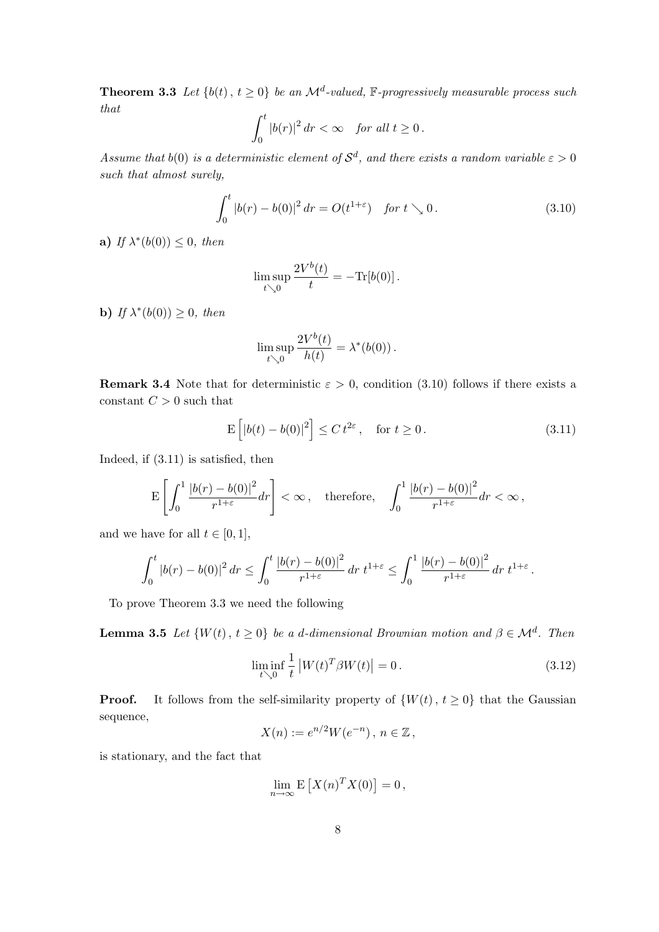**Theorem 3.3** Let  $\{b(t), t \geq 0\}$  be an  $\mathcal{M}^d$ -valued,  $\mathbb{F}$ -progressively measurable process such that  $rt$ 

$$
\int_0^t |b(r)|^2 dr < \infty \quad \text{for all } t \ge 0.
$$

Assume that  $b(0)$  is a deterministic element of  $S^d$ , and there exists a random variable  $\varepsilon > 0$ such that almost surely,

$$
\int_0^t |b(r) - b(0)|^2 dr = O(t^{1+\varepsilon}) \quad \text{for } t \searrow 0. \tag{3.10}
$$

a) If  $\lambda^*(b(0)) \leq 0$ , then

$$
\limsup_{t\searrow 0}\frac{2V^b(t)}{t}=-\text{Tr}[b(0)].
$$

**b**) If  $\lambda^*(b(0)) \geq 0$ , then

$$
\limsup_{t \searrow 0} \frac{2V^b(t)}{h(t)} = \lambda^*(b(0)).
$$

**Remark 3.4** Note that for deterministic  $\varepsilon > 0$ , condition (3.10) follows if there exists a constant  $C > 0$  such that

$$
\mathcal{E}\left[|b(t) - b(0)|^2\right] \le C t^{2\varepsilon}, \quad \text{for } t \ge 0.
$$
\n(3.11)

Indeed, if (3.11) is satisfied, then

$$
\mathbf{E}\left[\int_0^1 \frac{\left|b(r)-b(0)\right|^2}{r^{1+\varepsilon}}dr\right]<\infty\,,\quad \text{therefore},\quad \int_0^1 \frac{\left|b(r)-b(0)\right|^2}{r^{1+\varepsilon}}dr<\infty\,,
$$

and we have for all  $t \in [0, 1]$ ,

$$
\int_0^t |b(r)-b(0)|^2 \, dr \le \int_0^t \frac{|b(r)-b(0)|^2}{r^{1+\varepsilon}} \, dr \ t^{1+\varepsilon} \le \int_0^1 \frac{|b(r)-b(0)|^2}{r^{1+\varepsilon}} \, dr \ t^{1+\varepsilon} \, .
$$

To prove Theorem 3.3 we need the following

**Lemma 3.5** Let  $\{W(t), t \ge 0\}$  be a d-dimensional Brownian motion and  $\beta \in \mathcal{M}^d$ . Then

$$
\liminf_{t \searrow 0} \frac{1}{t} |W(t)^T \beta W(t)| = 0.
$$
\n(3.12)

**Proof.** It follows from the self-similarity property of  $\{W(t), t \ge 0\}$  that the Gaussian sequence,

$$
X(n) := e^{n/2}W(e^{-n}), n \in \mathbb{Z},
$$

is stationary, and the fact that

$$
\lim_{n \to \infty} \mathbf{E}\left[X(n)^T X(0)\right] = 0,
$$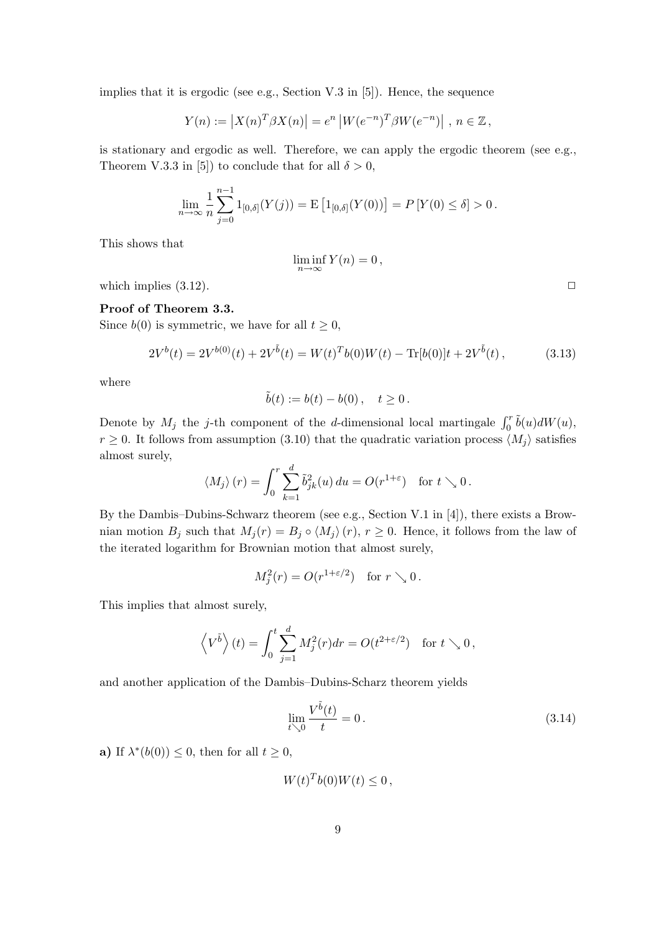implies that it is ergodic (see e.g., Section V.3 in [5]). Hence, the sequence

$$
Y(n) := |X(n)^T \beta X(n)| = e^n |W(e^{-n})^T \beta W(e^{-n})|
$$
,  $n \in \mathbb{Z}$ ,

is stationary and ergodic as well. Therefore, we can apply the ergodic theorem (see e.g., Theorem V.3.3 in [5]) to conclude that for all  $\delta > 0$ ,

$$
\lim_{n \to \infty} \frac{1}{n} \sum_{j=0}^{n-1} 1_{[0,\delta]}(Y(j)) = \mathbf{E} \left[ 1_{[0,\delta]}(Y(0)) \right] = P \left[ Y(0) \le \delta \right] > 0.
$$

This shows that

$$
\liminf_{n \to \infty} Y(n) = 0,
$$

which implies  $(3.12)$ .

## Proof of Theorem 3.3.

Since  $b(0)$  is symmetric, we have for all  $t \geq 0$ ,

$$
2V^{b}(t) = 2V^{b(0)}(t) + 2V^{\tilde{b}}(t) = W(t)^{T}b(0)W(t) - \text{Tr}[b(0)]t + 2V^{\tilde{b}}(t), \qquad (3.13)
$$

where

$$
\tilde b(t):=b(t)-b(0)\,,\quad t\ge 0\,.
$$

Denote by  $M_j$  the j-th component of the d-dimensional local martingale  $\int_0^r \tilde{b}(u) dW(u)$ ,  $r \geq 0$ . It follows from assumption (3.10) that the quadratic variation process  $\langle M_i \rangle$  satisfies almost surely,

$$
\langle M_j \rangle (r) = \int_0^r \sum_{k=1}^d \tilde{b}_{jk}^2(u) du = O(r^{1+\varepsilon}) \text{ for } t \searrow 0.
$$

By the Dambis–Dubins-Schwarz theorem (see e.g., Section V.1 in [4]), there exists a Brownian motion  $B_j$  such that  $M_j(r) = B_j \circ \langle M_j \rangle(r)$ ,  $r \geq 0$ . Hence, it follows from the law of the iterated logarithm for Brownian motion that almost surely,

$$
M_j^2(r) = O(r^{1+\varepsilon/2}) \quad \text{for } r \searrow 0.
$$

This implies that almost surely,

$$
\left\langle V^{\tilde{b}}\right\rangle(t)=\int_{0}^{t}\sum_{j=1}^{d}M_{j}^{2}(r)dr=O(t^{2+\varepsilon/2})\quad\text{for }t\searrow0\,,
$$

and another application of the Dambis–Dubins-Scharz theorem yields

$$
\lim_{t \searrow 0} \frac{V^{\tilde{b}}(t)}{t} = 0.
$$
\n(3.14)

a) If  $\lambda^*(b(0)) \leq 0$ , then for all  $t \geq 0$ ,

$$
W(t)^T b(0)W(t) \leq 0,
$$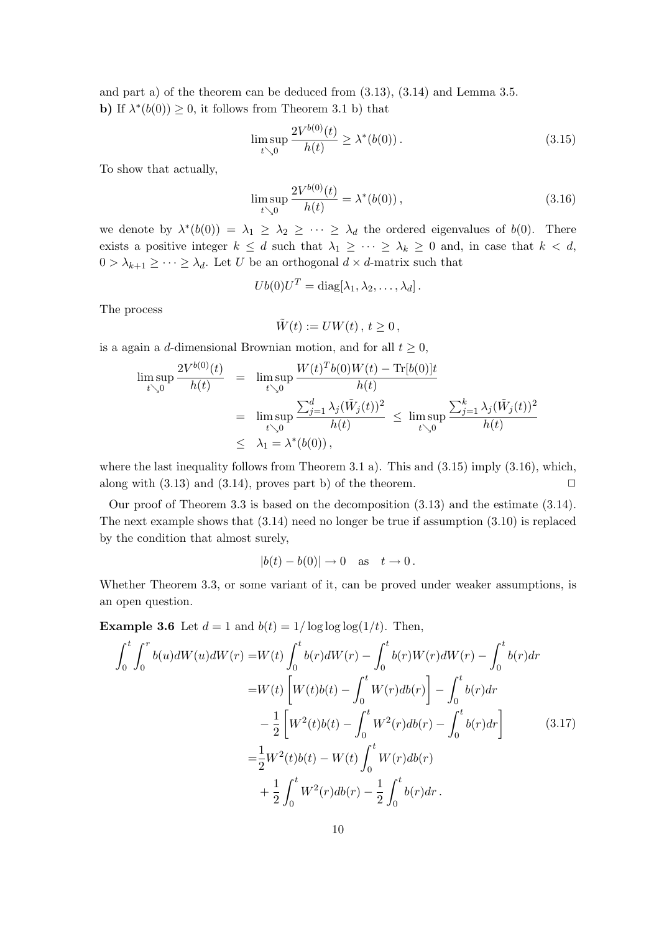and part a) of the theorem can be deduced from (3.13), (3.14) and Lemma 3.5. **b**) If  $\lambda^*(b(0)) \geq 0$ , it follows from Theorem 3.1 b) that

$$
\limsup_{t \searrow 0} \frac{2V^{b(0)}(t)}{h(t)} \ge \lambda^*(b(0)).
$$
\n(3.15)

To show that actually,

$$
\limsup_{t \searrow 0} \frac{2V^{b(0)}(t)}{h(t)} = \lambda^*(b(0)),
$$
\n(3.16)

we denote by  $\lambda^*(b(0)) = \lambda_1 \geq \lambda_2 \geq \cdots \geq \lambda_d$  the ordered eigenvalues of  $b(0)$ . There exists a positive integer  $k \leq d$  such that  $\lambda_1 \geq \cdots \geq \lambda_k \geq 0$  and, in case that  $k < d$ ,  $0 > \lambda_{k+1} \geq \cdots \geq \lambda_d$ . Let U be an orthogonal  $d \times d$ -matrix such that

$$
Ub(0)UT = diag[\lambda_1, \lambda_2, \ldots, \lambda_d].
$$

The process

$$
\tilde{W}(t) := UW(t) \, , \, t \ge 0 \, ,
$$

is a again a d-dimensional Brownian motion, and for all  $t \geq 0$ ,

$$
\limsup_{t \searrow 0} \frac{2V^{b(0)}(t)}{h(t)} = \limsup_{t \searrow 0} \frac{W(t)^T b(0)W(t) - \text{Tr}[b(0)]t}{h(t)} \n= \limsup_{t \searrow 0} \frac{\sum_{j=1}^d \lambda_j(\tilde{W}_j(t))^2}{h(t)} \le \limsup_{t \searrow 0} \frac{\sum_{j=1}^k \lambda_j(\tilde{W}_j(t))^2}{h(t)} \n\le \lambda_1 = \lambda^*(b(0)),
$$

where the last inequality follows from Theorem 3.1 a). This and  $(3.15)$  imply  $(3.16)$ , which, along with  $(3.13)$  and  $(3.14)$ , proves part b) of the theorem.  $\Box$ 

Our proof of Theorem 3.3 is based on the decomposition (3.13) and the estimate (3.14). The next example shows that (3.14) need no longer be true if assumption (3.10) is replaced by the condition that almost surely,

$$
|b(t) - b(0)| \to 0 \quad \text{as} \quad t \to 0.
$$

Whether Theorem 3.3, or some variant of it, can be proved under weaker assumptions, is an open question.

**Example 3.6** Let  $d = 1$  and  $b(t) = 1/\log \log \log(1/t)$ . Then,

$$
\int_{0}^{t} \int_{0}^{r} b(u)dW(u)dW(r) = W(t) \int_{0}^{t} b(r)dW(r) - \int_{0}^{t} b(r)W(r)dW(r) - \int_{0}^{t} b(r)dr
$$
  
\n
$$
= W(t) \left[ W(t)b(t) - \int_{0}^{t} W(r)db(r) \right] - \int_{0}^{t} b(r)dr
$$
  
\n
$$
- \frac{1}{2} \left[ W^{2}(t)b(t) - \int_{0}^{t} W^{2}(r)db(r) - \int_{0}^{t} b(r)dr \right]
$$
(3.17)  
\n
$$
= \frac{1}{2}W^{2}(t)b(t) - W(t) \int_{0}^{t} W(r)db(r)
$$
  
\n
$$
+ \frac{1}{2} \int_{0}^{t} W^{2}(r)db(r) - \frac{1}{2} \int_{0}^{t} b(r)dr.
$$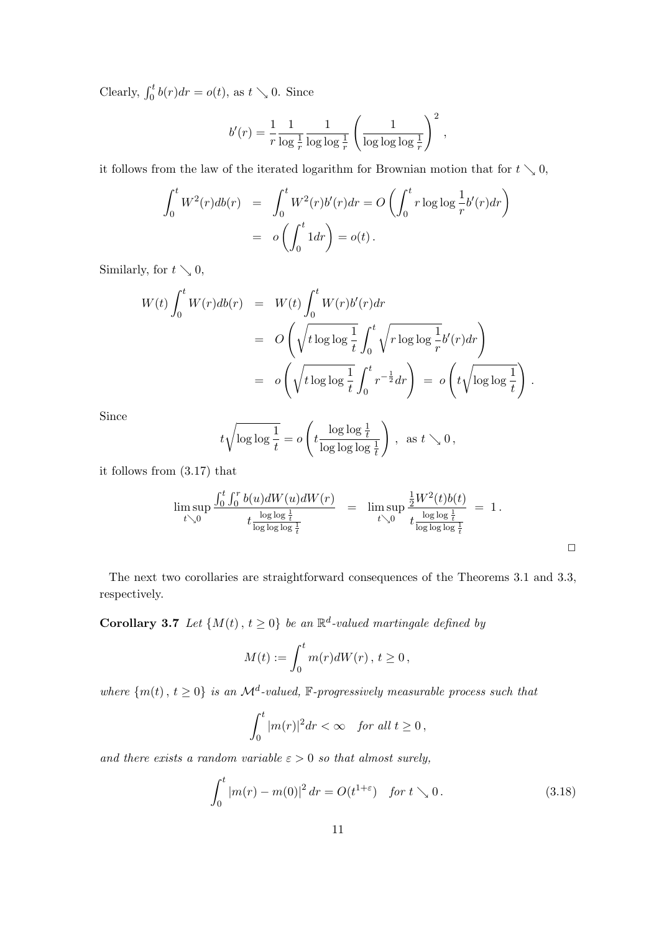Clearly,  $\int_0^t b(r) dr = o(t)$ , as  $t \searrow 0$ . Since

$$
b'(r) = \frac{1}{r} \frac{1}{\log \frac{1}{r}} \frac{1}{\log \log \frac{1}{r}} \left(\frac{1}{\log \log \log \frac{1}{r}}\right)^2,
$$

it follows from the law of the iterated logarithm for Brownian motion that for  $t \searrow 0$ ,

$$
\int_0^t W^2(r)db(r) = \int_0^t W^2(r)b'(r)dr = O\left(\int_0^t r\log\log\frac{1}{r}b'(r)dr\right)
$$
  
=  $o\left(\int_0^t 1dr\right) = o(t).$ 

Similarly, for  $t \searrow 0$ ,

$$
W(t) \int_0^t W(r)db(r) = W(t) \int_0^t W(r)b'(r)dr
$$
  
= 
$$
O\left(\sqrt{t \log \log \frac{1}{t}} \int_0^t \sqrt{r \log \log \frac{1}{r}} b'(r)dr\right)
$$
  
= 
$$
o\left(\sqrt{t \log \log \frac{1}{t}} \int_0^t r^{-\frac{1}{2}} dr\right) = o\left(t \sqrt{\log \log \frac{1}{t}}\right).
$$

Since

$$
t\sqrt{\log\log\frac{1}{t}} = o\left(t\frac{\log\log\frac{1}{t}}{\log\log\log\frac{1}{t}}\right), \text{ as } t \searrow 0,
$$

it follows from (3.17) that

$$
\limsup_{t \searrow 0} \frac{\int_0^t \int_0^r b(u) dW(u) dW(r)}{t \frac{\log \log \frac{1}{t}}{\log \log \log \frac{1}{t}}} = \limsup_{t \searrow 0} \frac{\frac{1}{2}W^2(t) b(t)}{t \frac{\log \log \frac{1}{t}}{\log \log \log \frac{1}{t}}} = 1.
$$

The next two corollaries are straightforward consequences of the Theorems 3.1 and 3.3, respectively.

**Corollary 3.7** Let  $\{M(t), t \geq 0\}$  be an  $\mathbb{R}^d$ -valued martingale defined by

$$
M(t) := \int_0^t m(r)dW(r) , t \ge 0 ,
$$

where  $\{m(t), t \geq 0\}$  is an  $\mathcal{M}^d$ -valued, F-progressively measurable process such that

$$
\int_0^t |m(r)|^2 dr < \infty \quad \text{for all } t \ge 0,
$$

and there exists a random variable  $\varepsilon > 0$  so that almost surely,

$$
\int_0^t |m(r) - m(0)|^2 dr = O(t^{1+\varepsilon}) \quad \text{for } t \searrow 0. \tag{3.18}
$$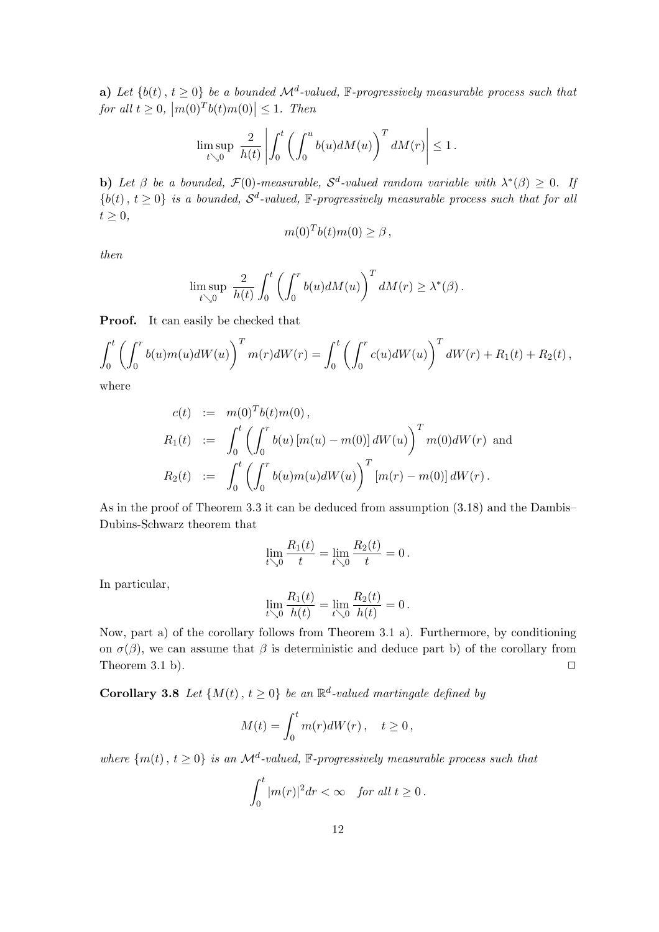**a**) Let  $\{b(t), t \geq 0\}$  be a bounded  $\mathcal{M}^d$ -valued, F-progressively measurable process such that for all  $t \geq 0$ ,  $\frac{d}{dt} \leq 0$  b  $\frac{d}{dt}$  b  $\frac{d}{dt}$  b  $\frac{d}{dt}$  b  $\frac{d}{dt}$  b  $\frac{d}{dt}$  b  $\frac{d}{dt}$  b  $\frac{d}{dt}$  b  $\frac{d}{dt}$  b  $\frac{d}{dt}$  b  $\frac{d}{dt}$  b  $\frac{d}{dt}$  b  $\frac{d}{dt}$  b  $\frac{d}{dt}$  b  $\frac{d}{dt}$  b  $\frac{d}{dt}$  b  $\frac{d}{dt}$  b  $\frac{d}{dt}$  b  $|\leq 1$ . Then

$$
\limsup_{t\searrow 0} \ \frac{2}{h(t)}\left|\int_0^t \left(\int_0^u b(u) dM(u)\right)^T dM(r)\right|\leq 1\,.
$$

b) Let  $\beta$  be a bounded,  $\mathcal{F}(0)$ -measurable,  $\mathcal{S}^d$ -valued random variable with  $\lambda^*(\beta) \geq 0$ . If  ${b(t), t \geq 0}$  is a bounded,  $S^d$ -valued, F-progressively measurable process such that for all  $t \geq 0,$ 

$$
m(0)^T b(t) m(0) \ge \beta,
$$

then

$$
\limsup_{t \searrow 0} \frac{2}{h(t)} \int_0^t \left( \int_0^r b(u) dM(u) \right)^T dM(r) \geq \lambda^*(\beta).
$$

Proof. It can easily be checked that

$$
\int_0^t \left( \int_0^r b(u) m(u) dW(u) \right)^T m(r) dW(r) = \int_0^t \left( \int_0^r c(u) dW(u) \right)^T dW(r) + R_1(t) + R_2(t),
$$

where

$$
c(t) := m(0)^T b(t) m(0),
$$
  
\n
$$
R_1(t) := \int_0^t \left( \int_0^r b(u) [m(u) - m(0)] dW(u) \right)^T m(0) dW(r)
$$
 and  
\n
$$
R_2(t) := \int_0^t \left( \int_0^r b(u) m(u) dW(u) \right)^T [m(r) - m(0)] dW(r).
$$

As in the proof of Theorem 3.3 it can be deduced from assumption (3.18) and the Dambis– Dubins-Schwarz theorem that

$$
\lim_{t \searrow 0} \frac{R_1(t)}{t} = \lim_{t \searrow 0} \frac{R_2(t)}{t} = 0.
$$

In particular,

$$
\lim_{t \searrow 0} \frac{R_1(t)}{h(t)} = \lim_{t \searrow 0} \frac{R_2(t)}{h(t)} = 0.
$$

Now, part a) of the corollary follows from Theorem 3.1 a). Furthermore, by conditioning on  $\sigma(\beta)$ , we can assume that  $\beta$  is deterministic and deduce part b) of the corollary from Theorem 3.1 b).  $\Box$ 

**Corollary 3.8** Let  $\{M(t), t \geq 0\}$  be an  $\mathbb{R}^d$ -valued martingale defined by

$$
M(t) = \int_0^t m(r)dW(r) , \quad t \ge 0 ,
$$

where  $\{m(t), t \geq 0\}$  is an  $\mathcal{M}^d$ -valued, F-progressively measurable process such that

$$
\int_0^t |m(r)|^2 dr < \infty \quad \text{for all } t \ge 0 \, .
$$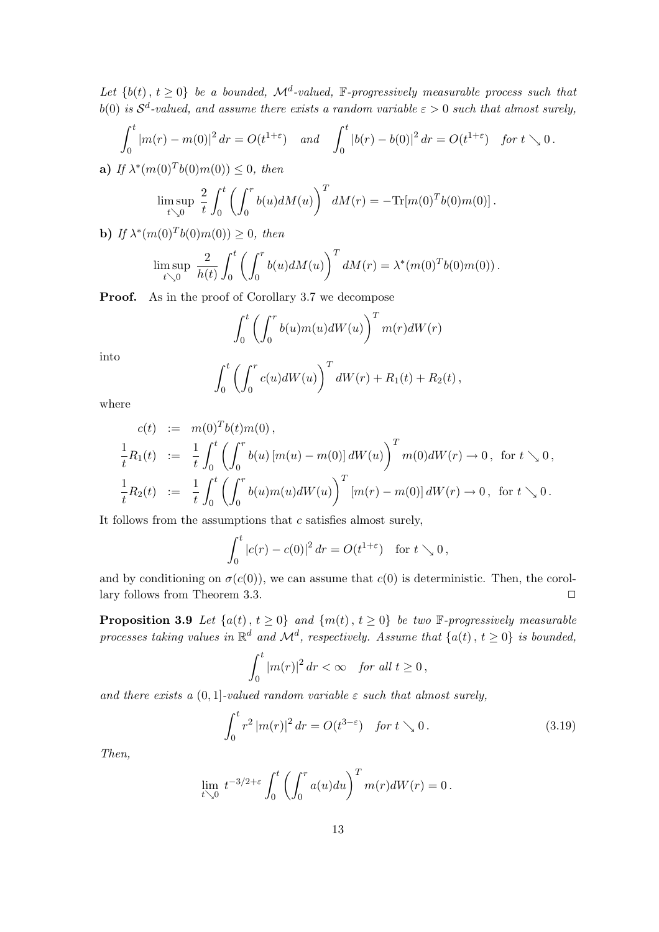Let  $\{b(t), t \geq 0\}$  be a bounded,  $\mathcal{M}^d$ -valued, F-progressively measurable process such that b(0) is  $S^d$ -valued, and assume there exists a random variable  $\varepsilon > 0$  such that almost surely,

$$
\int_0^t |m(r) - m(0)|^2 dr = O(t^{1+\varepsilon}) \quad and \quad \int_0^t |b(r) - b(0)|^2 dr = O(t^{1+\varepsilon}) \quad \text{for } t \searrow 0.
$$

**a)** If  $\lambda^*(m(0)^T b(0) m(0)) \leq 0$ , then

$$
\limsup_{t \searrow 0} \frac{2}{t} \int_0^t \left( \int_0^r b(u) dM(u) \right)^T dM(r) = -\text{Tr}[m(0)^T b(0) m(0)].
$$

**b**) If  $\lambda^*(m(0)^T b(0) m(0)) \geq 0$ , then

$$
\limsup_{t \searrow 0} \frac{2}{h(t)} \int_0^t \left( \int_0^r b(u) dM(u) \right)^T dM(r) = \lambda^* (m(0)^T b(0) m(0)).
$$

Proof. As in the proof of Corollary 3.7 we decompose

$$
\int_0^t \left( \int_0^r b(u) m(u) dW(u) \right)^T m(r) dW(r)
$$

into

$$
\int_0^t \left( \int_0^r c(u) dW(u) \right)^T dW(r) + R_1(t) + R_2(t),
$$

where

$$
c(t) := m(0)^T b(t) m(0),
$$
  
\n
$$
\frac{1}{t} R_1(t) := \frac{1}{t} \int_0^t \left( \int_0^r b(u) [m(u) - m(0)] dW(u) \right)^T m(0) dW(r) \to 0, \text{ for } t \searrow 0,
$$
  
\n
$$
\frac{1}{t} R_2(t) := \frac{1}{t} \int_0^t \left( \int_0^r b(u) m(u) dW(u) \right)^T [m(r) - m(0)] dW(r) \to 0, \text{ for } t \searrow 0.
$$

It follows from the assumptions that  $c$  satisfies almost surely,

$$
\int_0^t |c(r) - c(0)|^2 dr = O(t^{1+\varepsilon}) \text{ for } t \searrow 0,
$$

and by conditioning on  $\sigma(c(0))$ , we can assume that  $c(0)$  is deterministic. Then, the corollary follows from Theorem 3.3.  $\Box$ 

**Proposition 3.9** Let  $\{a(t), t \ge 0\}$  and  $\{m(t), t \ge 0\}$  be two  $\mathbb{F}$ -progressively measurable processes taking values in  $\mathbb{R}^d$  and  $\mathcal{M}^d$ , respectively. Assume that  $\{a(t), t \geq 0\}$  is bounded,

$$
\int_0^t |m(r)|^2 dr < \infty \quad \text{for all } t \ge 0,
$$

and there exists a  $(0, 1]$ -valued random variable  $\varepsilon$  such that almost surely,

$$
\int_0^t r^2 |m(r)|^2 dr = O(t^{3-\varepsilon}) \quad \text{for } t \searrow 0. \tag{3.19}
$$

Then,

$$
\lim_{t \searrow 0} t^{-3/2+\varepsilon} \int_0^t \left( \int_0^r a(u) du \right)^T m(r) dW(r) = 0.
$$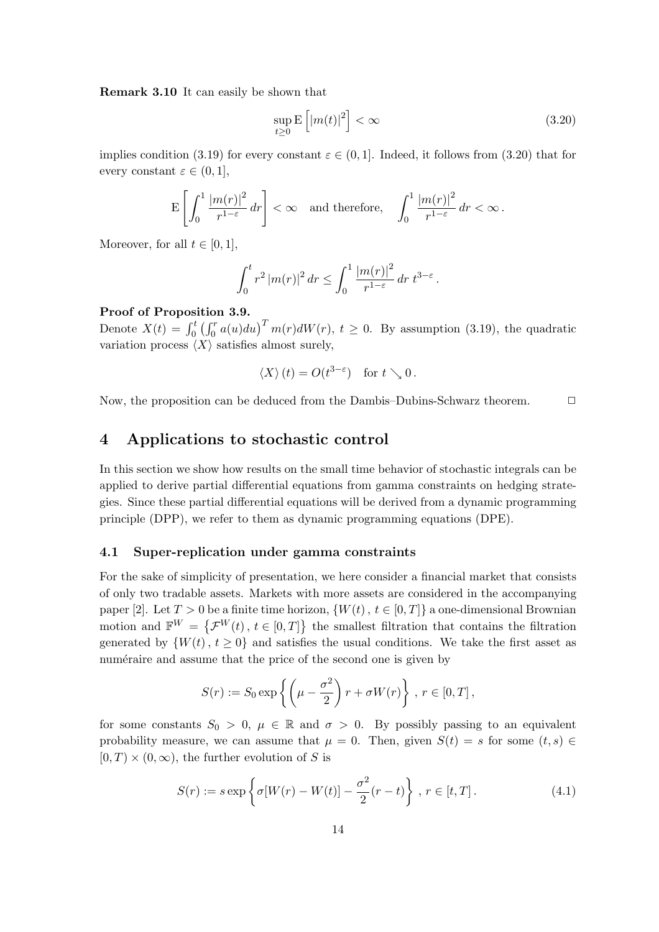Remark 3.10 It can easily be shown that

$$
\sup_{t\geq 0} \mathbb{E}\left[|m(t)|^2\right] < \infty \tag{3.20}
$$

implies condition (3.19) for every constant  $\varepsilon \in (0,1]$ . Indeed, it follows from (3.20) that for every constant  $\varepsilon \in (0,1],$ 

$$
\mathbf{E}\left[\int_0^1 \frac{|m(r)|^2}{r^{1-\varepsilon}}\,dr\right]<\infty\quad\text{and therefore,}\quad\int_0^1 \frac{|m(r)|^2}{r^{1-\varepsilon}}\,dr<\infty\,.
$$

Moreover, for all  $t \in [0, 1]$ ,

$$
\int_0^t r^2 |m(r)|^2 dr \le \int_0^1 \frac{|m(r)|^2}{r^{1-\varepsilon}} dr \ t^{3-\varepsilon}.
$$

#### Proof of Proposition 3.9.

Denote  $X(t) = \int_0^t$  $\frac{1}{r}$  $\int_0^r a(u) du$ <sup>T</sup>  $m(r) dW(r)$ ,  $t \ge 0$ . By assumption (3.19), the quadratic variation process  $\langle X \rangle$  satisfies almost surely,

$$
\langle X \rangle (t) = O(t^{3-\varepsilon}) \text{ for } t \searrow 0.
$$

Now, the proposition can be deduced from the Dambis–Dubins-Schwarz theorem.  $\Box$ 

# 4 Applications to stochastic control

In this section we show how results on the small time behavior of stochastic integrals can be applied to derive partial differential equations from gamma constraints on hedging strategies. Since these partial differential equations will be derived from a dynamic programming principle (DPP), we refer to them as dynamic programming equations (DPE).

#### 4.1 Super-replication under gamma constraints

For the sake of simplicity of presentation, we here consider a financial market that consists of only two tradable assets. Markets with more assets are considered in the accompanying paper [2]. Let  $T > 0$  be a finite time horizon,  $\{W(t), t \in [0,T]\}$  a one-dimensional Brownian motion and  $\mathbb{F}^W = \{\mathcal{F}^W(t), t \in [0,T]\}\$  the smallest filtration that contains the filtration generated by  $\{W(t), t \geq 0\}$  and satisfies the usual conditions. We take the first asset as numéraire and assume that the price of the second one is given by

$$
S(r) := S_0 \exp\left\{ \left( \mu - \frac{\sigma^2}{2} \right) r + \sigma W(r) \right\}, r \in [0, T],
$$

for some constants  $S_0 > 0$ ,  $\mu \in \mathbb{R}$  and  $\sigma > 0$ . By possibly passing to an equivalent probability measure, we can assume that  $\mu = 0$ . Then, given  $S(t) = s$  for some  $(t, s) \in$  $[0, T] \times (0, \infty)$ , the further evolution of S is

$$
S(r) := s \exp\left\{\sigma[W(r) - W(t)] - \frac{\sigma^2}{2}(r - t)\right\}, r \in [t, T].
$$
 (4.1)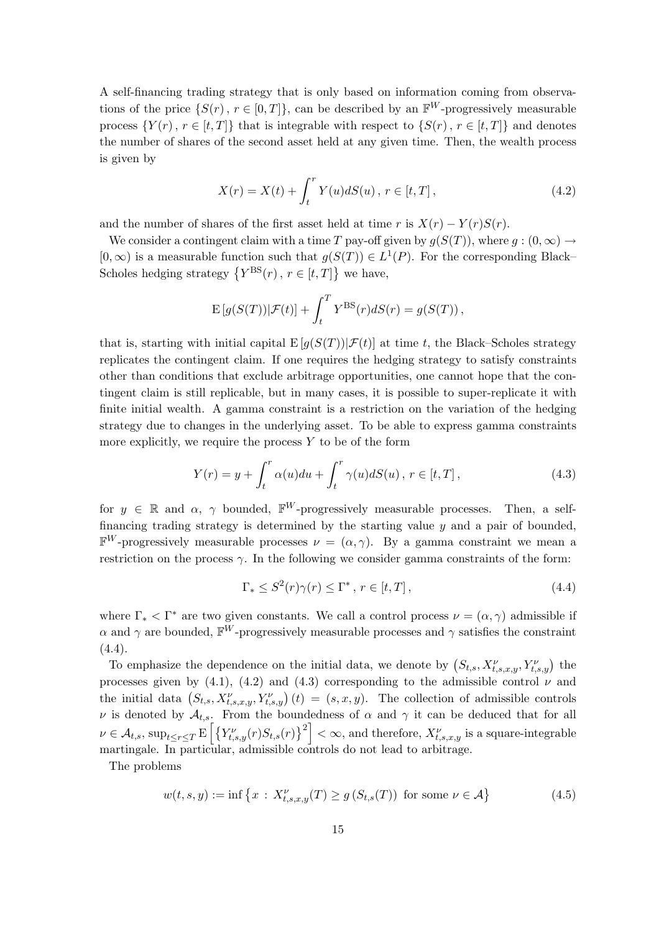A self-financing trading strategy that is only based on information coming from observations of the price  $\{S(r), r \in [0,T]\}$ , can be described by an  $\mathbb{F}^W$ -progressively measurable process  $\{Y(r), r \in [t, T]\}\$  that is integrable with respect to  $\{S(r), r \in [t, T]\}\$  and denotes the number of shares of the second asset held at any given time. Then, the wealth process is given by

$$
X(r) = X(t) + \int_{t}^{r} Y(u)dS(u), \, r \in [t, T], \tag{4.2}
$$

and the number of shares of the first asset held at time r is  $X(r) - Y(r)S(r)$ .

We consider a contingent claim with a time T pay-off given by  $q(S(T))$ , where  $q:(0,\infty) \to$  $[0, \infty)$  is a measurable function such that  $g(S(T)) \in L^1(P)$ . For the corresponding Black– Scholes hedging strategy  $\{Y^{\text{BS}}(r), r \in [t, T]\}$  we have,

$$
\mathbf{E}\left[g(S(T))|\mathcal{F}(t)\right] + \int_{t}^{T} Y^{\text{BS}}(r) dS(r) = g(S(T)),
$$

that is, starting with initial capital  $E[g(S(T))|\mathcal{F}(t)]$  at time t, the Black–Scholes strategy replicates the contingent claim. If one requires the hedging strategy to satisfy constraints other than conditions that exclude arbitrage opportunities, one cannot hope that the contingent claim is still replicable, but in many cases, it is possible to super-replicate it with finite initial wealth. A gamma constraint is a restriction on the variation of the hedging strategy due to changes in the underlying asset. To be able to express gamma constraints more explicitly, we require the process  $Y$  to be of the form

$$
Y(r) = y + \int_{t}^{r} \alpha(u) du + \int_{t}^{r} \gamma(u) dS(u), \ r \in [t, T], \qquad (4.3)
$$

for  $y \in \mathbb{R}$  and  $\alpha$ ,  $\gamma$  bounded,  $\mathbb{F}^W$ -progressively measurable processes. Then, a selffinancing trading strategy is determined by the starting value  $y$  and a pair of bounded,  $\mathbb{F}^W$ -progressively measurable processes  $\nu = (\alpha, \gamma)$ . By a gamma constraint we mean a restriction on the process  $\gamma$ . In the following we consider gamma constraints of the form:

$$
\Gamma_* \le S^2(r)\gamma(r) \le \Gamma^*, \ r \in [t, T], \tag{4.4}
$$

where  $\Gamma_* < \Gamma^*$  are two given constants. We call a control process  $\nu = (\alpha, \gamma)$  admissible if  $\alpha$  and  $\gamma$  are bounded,  $\overline{\mathbb{F}^W}$ -progressively measurable processes and  $\gamma$  satisfies the constraint  $(4.4).$ 

To emphasize the dependence on the initial data, we denote by  $(S_{t,s}, X_{t,s,x,y}^{\nu}, Y_{t,s,y}^{\nu})$  the processes given by (4.1), (4.2) and (4.3) corresponding to the admissible control  $\nu$  and processes given by (4.1), (4.2) and (4.3) corresponding to the admissible control  $\nu$  and<br>the initial data  $(S_{t,s}, X_{t,s,x,y}^{\nu}, Y_{t,s,y}^{\nu})$   $(t) = (s,x,y)$ . The collection of admissible controls ν is denoted by  $\mathcal{A}_{t,s}$ . From the boundedness of  $\alpha$  and  $\gamma$  it can be deduced that for all  $\nu \in A_{t,s}, \, \sup_{t \leq r \leq T} E \left[ \left\{ Y_{t,s,y}^{\nu}(r) S_{t,s}(r) \right\} \right]$  $\left|\frac{2}{3}\right|^2 < \infty$ , and therefore,  $X_{t,s,x,y}^{\nu}$  is a square-integrable martingale. In particular, admissible controls do not lead to arbitrage.

The problems

$$
w(t,s,y) := \inf \left\{ x \, : \, X_{t,s,x,y}^{\nu}(T) \ge g \left( S_{t,s}(T) \right) \text{ for some } \nu \in \mathcal{A} \right\}
$$
(4.5)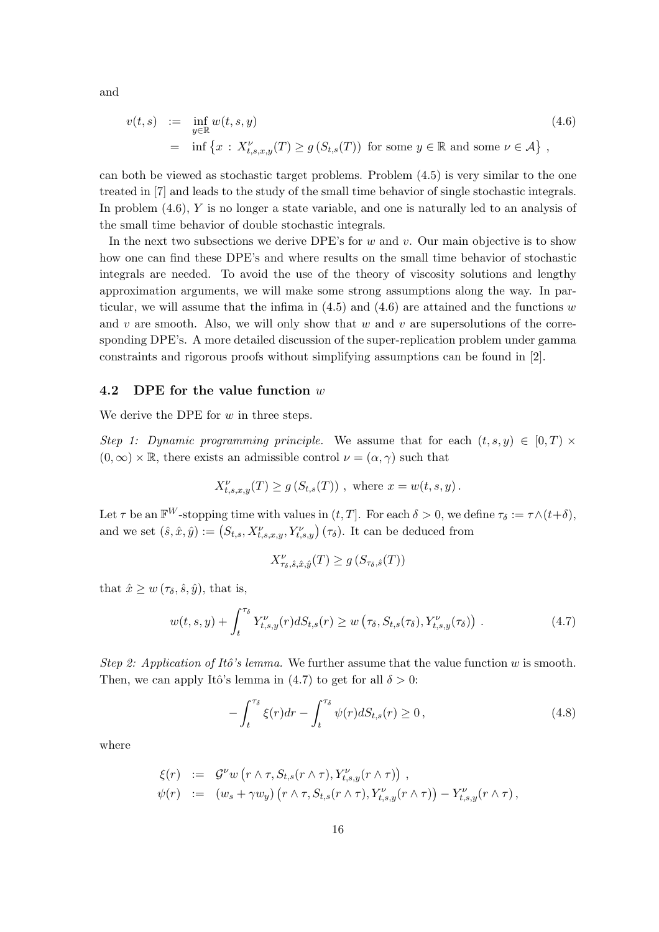and

$$
v(t,s) := \inf_{y \in \mathbb{R}} w(t,s,y)
$$
  
=  $\inf \{ x : X_{t,s,x,y}^{\nu}(T) \ge g(S_{t,s}(T)) \text{ for some } y \in \mathbb{R} \text{ and some } \nu \in \mathcal{A} \},$  (4.6)

can both be viewed as stochastic target problems. Problem (4.5) is very similar to the one treated in [7] and leads to the study of the small time behavior of single stochastic integrals. In problem (4.6), Y is no longer a state variable, and one is naturally led to an analysis of the small time behavior of double stochastic integrals.

In the next two subsections we derive DPE's for w and v. Our main objective is to show how one can find these DPE's and where results on the small time behavior of stochastic integrals are needed. To avoid the use of the theory of viscosity solutions and lengthy approximation arguments, we will make some strong assumptions along the way. In particular, we will assume that the infima in  $(4.5)$  and  $(4.6)$  are attained and the functions w and v are smooth. Also, we will only show that w and v are supersolutions of the corresponding DPE's. A more detailed discussion of the super-replication problem under gamma constraints and rigorous proofs without simplifying assumptions can be found in [2].

#### 4.2 DPE for the value function w

We derive the DPE for  $w$  in three steps.

Step 1: Dynamic programming principle. We assume that for each  $(t, s, y) \in [0, T) \times$  $(0, \infty) \times \mathbb{R}$ , there exists an admissible control  $\nu = (\alpha, \gamma)$  such that

$$
X_{t,s,x,y}^{\nu}(T) \ge g\left(S_{t,s}(T)\right), \text{ where } x = w(t,s,y).
$$

Let  $\tau$  be an  $\mathbb{F}^W$ -stopping time with values in  $(t, T]$ . For each  $\delta > 0$ , we define  $\tau_{\delta} := \tau \wedge (t + \delta)$ , Let *i* be an  $\mathbf{r}$  -stopping time with values in  $(t, I]$ . For each  $t > 0$ , we denote the and we set  $(\hat{s}, \hat{x}, \hat{y}) := (S_{t,s}, X_{t,s,x,y}^{\nu}, Y_{t,s,y}^{\nu}) (\tau_{\delta})$ . It can be deduced from

$$
X^\nu_{\tau_\delta,\hat{s},\hat{x},\hat{y}}(T) \ge g\left(S_{\tau_\delta,\hat{s}}(T)\right)
$$

that  $\hat{x} \geq w(\tau_{\delta}, \hat{s}, \hat{y})$ , that is,

$$
w(t,s,y) + \int_{t}^{\tau_{\delta}} Y_{t,s,y}^{\nu}(r) dS_{t,s}(r) \geq w\left(\tau_{\delta}, S_{t,s}(\tau_{\delta}), Y_{t,s,y}^{\nu}(\tau_{\delta})\right). \tag{4.7}
$$

Step 2: Application of Itô's lemma. We further assume that the value function w is smooth. Then, we can apply Itô's lemma in (4.7) to get for all  $\delta > 0$ :

$$
-\int_{t}^{\tau_{\delta}} \xi(r)dr - \int_{t}^{\tau_{\delta}} \psi(r)dS_{t,s}(r) \ge 0, \qquad (4.8)
$$

where

$$
\xi(r) := \mathcal{G}^{\nu} w(r \wedge \tau, S_{t,s}(r \wedge \tau), Y_{t,s,y}^{\nu}(r \wedge \tau)) ,
$$
  

$$
\psi(r) := (w_s + \gamma w_y) (r \wedge \tau, S_{t,s}(r \wedge \tau), Y_{t,s,y}^{\nu}(r \wedge \tau)) - Y_{t,s,y}^{\nu}(r \wedge \tau) ,
$$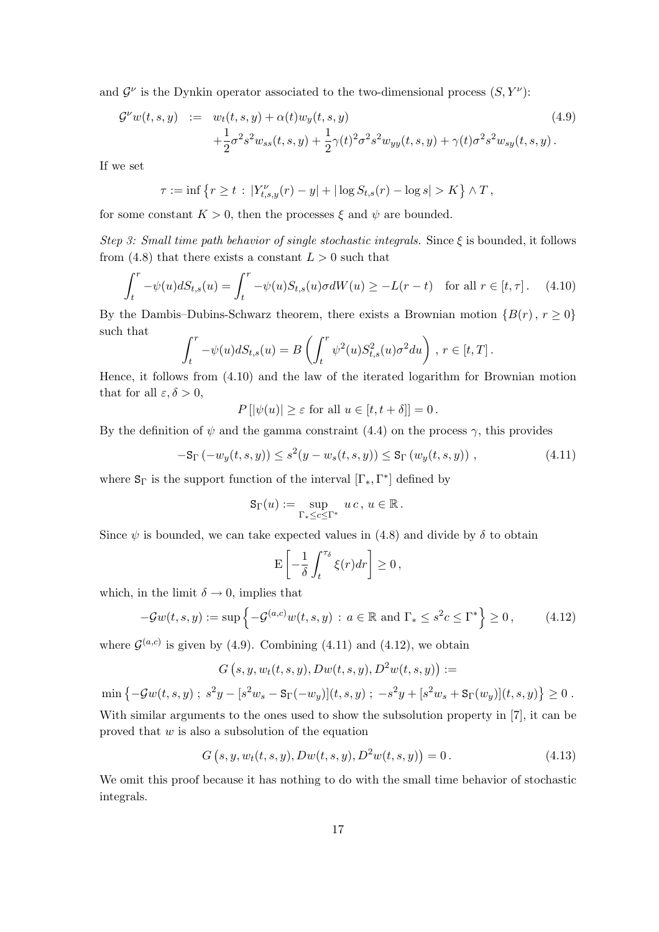and  $\mathcal{G}^{\nu}$  is the Dynkin operator associated to the two-dimensional process  $(S, Y^{\nu})$ :

$$
\mathcal{G}^{\nu}w(t,s,y) := w_t(t,s,y) + \alpha(t)w_y(t,s,y) \n+ \frac{1}{2}\sigma^2 s^2 w_{ss}(t,s,y) + \frac{1}{2}\gamma(t)^2 \sigma^2 s^2 w_{yy}(t,s,y) + \gamma(t) \sigma^2 s^2 w_{sy}(t,s,y).
$$
\n(4.9)

If we set

$$
\tau := \inf \left\{ r \ge t \, : \, |Y_{t,s,y}^{\nu}(r) - y| + |\log S_{t,s}(r) - \log s| > K \right\} \wedge T \, ,
$$

for some constant  $K > 0$ , then the processes  $\xi$  and  $\psi$  are bounded.

Step 3: Small time path behavior of single stochastic integrals. Since  $\xi$  is bounded, it follows from (4.8) that there exists a constant  $L > 0$  such that

$$
\int_t^r -\psi(u)dS_{t,s}(u) = \int_t^r -\psi(u)S_{t,s}(u)\sigma dW(u) \ge -L(r-t) \quad \text{for all } r \in [t, \tau]. \tag{4.10}
$$

By the Dambis–Dubins-Schwarz theorem, there exists a Brownian motion  $\{B(r), r \geq 0\}$ such that  $\overline{r}$  $\sqrt{r}$ 

$$
\int_t^r -\psi(u)dS_{t,s}(u) = B\left(\int_t^r \psi^2(u)S_{t,s}^2(u)\sigma^2 du\right), r \in [t,T].
$$

Hence, it follows from (4.10) and the law of the iterated logarithm for Brownian motion that for all  $\varepsilon, \delta > 0$ ,

 $P[|\psi(u)| \geq \varepsilon$  for all  $u \in [t, t + \delta]] = 0$ .

By the definition of  $\psi$  and the gamma constraint (4.4) on the process  $\gamma$ , this provides

$$
-S_{\Gamma}(-w_y(t,s,y)) \le s^2(y - w_s(t,s,y)) \le S_{\Gamma}(w_y(t,s,y)), \qquad (4.11)
$$

where  $S_{\Gamma}$  is the support function of the interval  $[\Gamma_*, \Gamma^*]$  defined by

$$
\mathsf{S}_{\Gamma}(u) := \sup_{\Gamma_* \leq c \leq \Gamma^*} u c, u \in \mathbb{R}.
$$

Since  $\psi$  is bounded, we can take expected values in (4.8) and divide by  $\delta$  to obtain

$$
\mathcal{E}\left[-\frac{1}{\delta}\int_t^{\tau_\delta}\xi(r)dr\right]\geq 0\,,
$$

which, in the limit  $\delta \rightarrow 0$ , implies that

$$
-\mathcal{G}w(t,s,y) := \sup \left\{ -\mathcal{G}^{(a,c)}w(t,s,y) \, : \, a \in \mathbb{R} \text{ and } \Gamma_* \le s^2 c \le \Gamma^* \right\} \ge 0, \tag{4.12}
$$

where  $\mathcal{G}^{(a,c)}$  is given by (4.9). Combining (4.11) and (4.12), we obtain

$$
G(s, y, w_t(t, s, y), Dw(t, s, y), D^2w(t, s, y)) :=
$$

 $\min \{-\mathcal{G}w(t,s,y) \; ; \; s^2y - [s^2w_s - \text{S}_{\Gamma}(-w_y)](t,s,y) \; ; \; -s^2y + [s^2w_s + \text{S}_{\Gamma}(w_y)](t,s,y) \}$  $\geq 0$ . With similar arguments to the ones used to show the subsolution property in [7], it can be proved that  $w$  is also a subsolution of the equation

$$
G(s, y, w_t(t, s, y), Dw(t, s, y), D^2w(t, s, y)) = 0.
$$
\n(4.13)

We omit this proof because it has nothing to do with the small time behavior of stochastic integrals.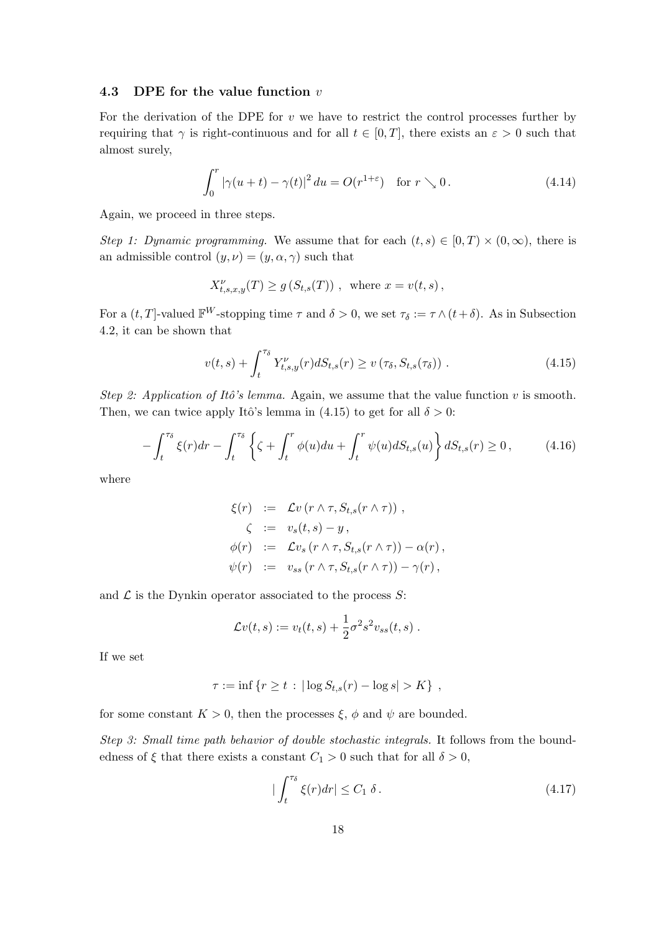### 4.3 DPE for the value function  $v$

For the derivation of the DPE for  $v$  we have to restrict the control processes further by requiring that  $\gamma$  is right-continuous and for all  $t \in [0, T]$ , there exists an  $\varepsilon > 0$  such that almost surely,

$$
\int_0^r |\gamma(u+t) - \gamma(t)|^2 du = O(r^{1+\varepsilon}) \quad \text{for } r \searrow 0.
$$
 (4.14)

Again, we proceed in three steps.

Step 1: Dynamic programming. We assume that for each  $(t, s) \in [0, T) \times (0, \infty)$ , there is an admissible control  $(y, \nu) = (y, \alpha, \gamma)$  such that

$$
X_{t,s,x,y}^{\nu}(T) \ge g\left(S_{t,s}(T)\right) , \text{ where } x = v(t,s) ,
$$

For a  $(t, T]$ -valued  $\mathbb{F}^W$ -stopping time  $\tau$  and  $\delta > 0$ , we set  $\tau_{\delta} := \tau \wedge (t + \delta)$ . As in Subsection 4.2, it can be shown that

$$
v(t,s) + \int_{t}^{\tau_{\delta}} Y_{t,s,y}^{\nu}(r) dS_{t,s}(r) \ge v(\tau_{\delta}, S_{t,s}(\tau_{\delta})) . \tag{4.15}
$$

Step 2: Application of Itô's lemma. Again, we assume that the value function v is smooth. Then, we can twice apply Itô's lemma in (4.15) to get for all  $\delta > 0$ :

$$
-\int_{t}^{\tau_{\delta}} \xi(r)dr - \int_{t}^{\tau_{\delta}} \left\{ \zeta + \int_{t}^{r} \phi(u)du + \int_{t}^{r} \psi(u)dS_{t,s}(u) \right\} dS_{t,s}(r) \ge 0, \tag{4.16}
$$

where

$$
\xi(r) := \mathcal{L}v(r \wedge \tau, S_{t,s}(r \wedge \tau)),
$$
  
\n
$$
\zeta := v_s(t,s) - y,
$$
  
\n
$$
\phi(r) := \mathcal{L}v_s(r \wedge \tau, S_{t,s}(r \wedge \tau)) - \alpha(r),
$$
  
\n
$$
\psi(r) := v_{ss}(r \wedge \tau, S_{t,s}(r \wedge \tau)) - \gamma(r),
$$

and  $\mathcal L$  is the Dynkin operator associated to the process  $S$ :

$$
\mathcal{L}v(t,s) := v_t(t,s) + \frac{1}{2}\sigma^2 s^2 v_{ss}(t,s) .
$$

If we set

$$
\tau := \inf \{ r \ge t : |\log S_{t,s}(r) - \log s| > K \},
$$

for some constant  $K > 0$ , then the processes  $\xi$ ,  $\phi$  and  $\psi$  are bounded.

Step 3: Small time path behavior of double stochastic integrals. It follows from the boundedness of  $\xi$  that there exists a constant  $C_1 > 0$  such that for all  $\delta > 0$ ,

$$
|\int_{t}^{\tau_{\delta}} \xi(r) dr| \le C_1 \delta. \tag{4.17}
$$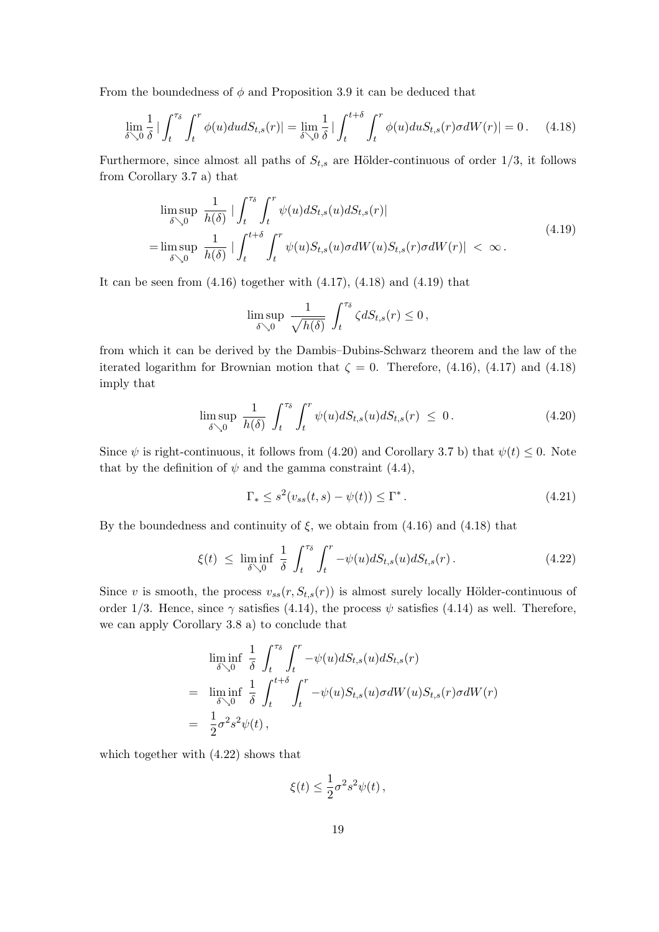From the boundedness of  $\phi$  and Proposition 3.9 it can be deduced that

$$
\lim_{\delta \searrow 0} \frac{1}{\delta} \Big| \int_t^{\tau_\delta} \int_t^r \phi(u) du dS_{t,s}(r) \Big| = \lim_{\delta \searrow 0} \frac{1}{\delta} \Big| \int_t^{t+\delta} \int_t^r \phi(u) du S_{t,s}(r) \sigma dW(r) \Big| = 0. \tag{4.18}
$$

Furthermore, since almost all paths of  $S_{t,s}$  are Hölder-continuous of order 1/3, it follows from Corollary 3.7 a) that

$$
\limsup_{\delta \searrow 0} \frac{1}{h(\delta)} \left| \int_t^{\tau_{\delta}} \int_t^r \psi(u) dS_{t,s}(u) dS_{t,s}(r) \right|
$$
\n
$$
= \limsup_{\delta \searrow 0} \frac{1}{h(\delta)} \left| \int_t^{t+\delta} \int_t^r \psi(u) S_{t,s}(u) \sigma dW(u) S_{t,s}(r) \sigma dW(r) \right| < \infty.
$$
\n(4.19)

It can be seen from  $(4.16)$  together with  $(4.17)$ ,  $(4.18)$  and  $(4.19)$  that

$$
\limsup_{\delta \searrow 0} \frac{1}{\sqrt{h(\delta)}} \int_t^{\tau_{\delta}} \zeta dS_{t,s}(r) \leq 0,
$$

from which it can be derived by the Dambis–Dubins-Schwarz theorem and the law of the iterated logarithm for Brownian motion that  $\zeta = 0$ . Therefore, (4.16), (4.17) and (4.18) imply that

$$
\limsup_{\delta \searrow 0} \frac{1}{h(\delta)} \int_t^{\tau_{\delta}} \int_t^r \psi(u) dS_{t,s}(u) dS_{t,s}(r) \leq 0. \tag{4.20}
$$

Since  $\psi$  is right-continuous, it follows from (4.20) and Corollary 3.7 b) that  $\psi(t) \leq 0$ . Note that by the definition of  $\psi$  and the gamma constraint (4.4),

$$
\Gamma_* \le s^2(v_{ss}(t,s) - \psi(t)) \le \Gamma^* \,. \tag{4.21}
$$

By the boundedness and continuity of  $\xi$ , we obtain from (4.16) and (4.18) that

$$
\xi(t) \le \liminf_{\delta \searrow 0} \frac{1}{\delta} \int_t^{\tau_\delta} \int_t^r -\psi(u) dS_{t,s}(u) dS_{t,s}(r). \tag{4.22}
$$

Since v is smooth, the process  $v_{ss}(r, S_{t,s}(r))$  is almost surely locally Hölder-continuous of order 1/3. Hence, since  $\gamma$  satisfies (4.14), the process  $\psi$  satisfies (4.14) as well. Therefore, we can apply Corollary 3.8 a) to conclude that

$$
\liminf_{\delta \searrow 0} \frac{1}{\delta} \int_{t}^{\tau_{\delta}} \int_{t}^{r} -\psi(u) dS_{t,s}(u) dS_{t,s}(r)
$$
\n
$$
= \liminf_{\delta \searrow 0} \frac{1}{\delta} \int_{t}^{t+\delta} \int_{t}^{r} -\psi(u) S_{t,s}(u) \sigma dW(u) S_{t,s}(r) \sigma dW(r)
$$
\n
$$
= \frac{1}{2} \sigma^{2} s^{2} \psi(t),
$$

which together with  $(4.22)$  shows that

$$
\xi(t) \leq \frac{1}{2}\sigma^2 s^2 \psi(t) \,,
$$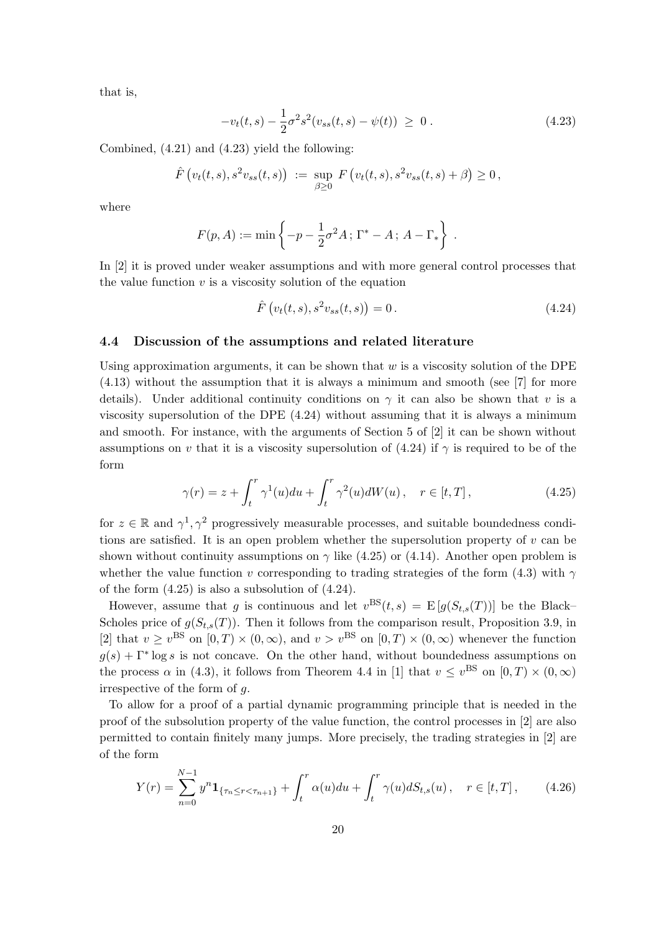that is,

$$
-v_t(t,s) - \frac{1}{2}\sigma^2 s^2 (v_{ss}(t,s) - \psi(t)) \geq 0.
$$
 (4.23)

Combined, (4.21) and (4.23) yield the following:

$$
\hat{F}\left(v_t(t,s), s^2v_{ss}(t,s)\right) := \sup_{\beta \geq 0} F\left(v_t(t,s), s^2v_{ss}(t,s) + \beta\right) \geq 0,
$$

where

$$
F(p, A) := \min \left\{ -p - \frac{1}{2} \sigma^2 A \, ; \, \Gamma^* - A \, ; \, A - \Gamma_* \right\} \, .
$$

In [2] it is proved under weaker assumptions and with more general control processes that the value function  $v$  is a viscosity solution of the equation

$$
\hat{F}\left(v_t(t,s), s^2v_{ss}(t,s)\right) = 0.
$$
\n(4.24)

## 4.4 Discussion of the assumptions and related literature

Using approximation arguments, it can be shown that  $w$  is a viscosity solution of the DPE (4.13) without the assumption that it is always a minimum and smooth (see [7] for more details). Under additional continuity conditions on  $\gamma$  it can also be shown that v is a viscosity supersolution of the DPE (4.24) without assuming that it is always a minimum and smooth. For instance, with the arguments of Section 5 of [2] it can be shown without assumptions on v that it is a viscosity supersolution of (4.24) if  $\gamma$  is required to be of the form

$$
\gamma(r) = z + \int_t^r \gamma^1(u) du + \int_t^r \gamma^2(u) dW(u), \quad r \in [t, T], \qquad (4.25)
$$

for  $z \in \mathbb{R}$  and  $\gamma^1, \gamma^2$  progressively measurable processes, and suitable boundedness conditions are satisfied. It is an open problem whether the supersolution property of  $v$  can be shown without continuity assumptions on  $\gamma$  like (4.25) or (4.14). Another open problem is whether the value function v corresponding to trading strategies of the form (4.3) with  $\gamma$ of the form (4.25) is also a subsolution of (4.24).

However, assume that g is continuous and let  $v^{BS}(t,s) = E[g(S_{t,s}(T))]$  be the Black-Scholes price of  $g(S_{t,s}(T))$ . Then it follows from the comparison result, Proposition 3.9, in [2] that  $v \ge v^{\text{BS}}$  on  $[0, T) \times (0, \infty)$ , and  $v > v^{\text{BS}}$  on  $[0, T) \times (0, \infty)$  whenever the function  $g(s) + \Gamma^* \log s$  is not concave. On the other hand, without boundedness assumptions on the process  $\alpha$  in (4.3), it follows from Theorem 4.4 in [1] that  $v \leq v^{\text{BS}}$  on  $[0, T) \times (0, \infty)$ irrespective of the form of g.

To allow for a proof of a partial dynamic programming principle that is needed in the proof of the subsolution property of the value function, the control processes in [2] are also permitted to contain finitely many jumps. More precisely, the trading strategies in [2] are of the form

$$
Y(r) = \sum_{n=0}^{N-1} y^n \mathbf{1}_{\{\tau_n \le r < \tau_{n+1}\}} + \int_t^r \alpha(u) du + \int_t^r \gamma(u) dS_{t,s}(u) \,, \quad r \in [t, T] \,, \tag{4.26}
$$